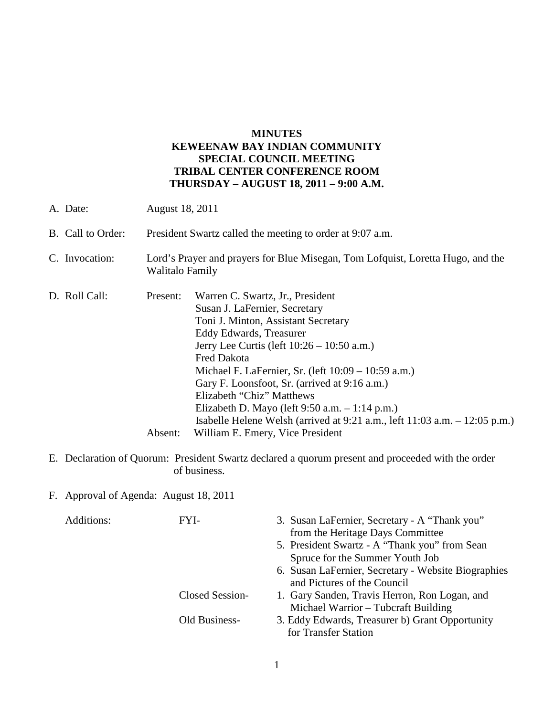# **MINUTES KEWEENAW BAY INDIAN COMMUNITY SPECIAL COUNCIL MEETING TRIBAL CENTER CONFERENCE ROOM THURSDAY – AUGUST 18, 2011 – 9:00 A.M.**

| A. Date:          |                     | August 18, 2011                                                                                                                                                                                                                                                                                                                                                                                                                                                                                                            |  |  |
|-------------------|---------------------|----------------------------------------------------------------------------------------------------------------------------------------------------------------------------------------------------------------------------------------------------------------------------------------------------------------------------------------------------------------------------------------------------------------------------------------------------------------------------------------------------------------------------|--|--|
| B. Call to Order: |                     | President Swartz called the meeting to order at 9:07 a.m.                                                                                                                                                                                                                                                                                                                                                                                                                                                                  |  |  |
| C. Invocation:    |                     | Lord's Prayer and prayers for Blue Misegan, Tom Lofquist, Loretta Hugo, and the<br>Walitalo Family                                                                                                                                                                                                                                                                                                                                                                                                                         |  |  |
| D. Roll Call:     | Present:<br>Absent: | Warren C. Swartz, Jr., President<br>Susan J. LaFernier, Secretary<br>Toni J. Minton, Assistant Secretary<br>Eddy Edwards, Treasurer<br>Jerry Lee Curtis (left $10:26 - 10:50$ a.m.)<br><b>Fred Dakota</b><br>Michael F. LaFernier, Sr. (left 10:09 – 10:59 a.m.)<br>Gary F. Loonsfoot, Sr. (arrived at 9:16 a.m.)<br>Elizabeth "Chiz" Matthews<br>Elizabeth D. Mayo (left $9:50$ a.m. $-1:14$ p.m.)<br>Isabelle Helene Welsh (arrived at $9:21$ a.m., left $11:03$ a.m. $-12:05$ p.m.)<br>William E. Emery, Vice President |  |  |

- E. Declaration of Quorum: President Swartz declared a quorum present and proceeded with the order of business.
- F. Approval of Agenda: August 18, 2011

| Additions: | FYI-            | 3. Susan LaFernier, Secretary - A "Thank you"<br>from the Heritage Days Committee |
|------------|-----------------|-----------------------------------------------------------------------------------|
|            |                 | 5. President Swartz - A "Thank you" from Sean                                     |
|            |                 | Spruce for the Summer Youth Job                                                   |
|            |                 | 6. Susan LaFernier, Secretary - Website Biographies                               |
|            |                 | and Pictures of the Council                                                       |
|            | Closed Session- | 1. Gary Sanden, Travis Herron, Ron Logan, and                                     |
|            |                 | Michael Warrior – Tubcraft Building                                               |
|            | Old Business-   | 3. Eddy Edwards, Treasurer b) Grant Opportunity                                   |
|            |                 | for Transfer Station                                                              |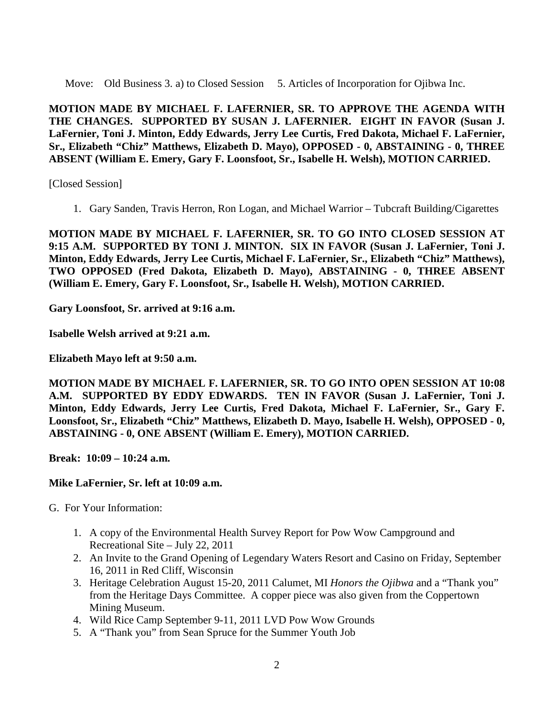Move: Old Business 3. a) to Closed Session 5. Articles of Incorporation for Ojibwa Inc.

**MOTION MADE BY MICHAEL F. LAFERNIER, SR. TO APPROVE THE AGENDA WITH THE CHANGES. SUPPORTED BY SUSAN J. LAFERNIER. EIGHT IN FAVOR (Susan J. LaFernier, Toni J. Minton, Eddy Edwards, Jerry Lee Curtis, Fred Dakota, Michael F. LaFernier, Sr., Elizabeth "Chiz" Matthews, Elizabeth D. Mayo), OPPOSED - 0, ABSTAINING - 0, THREE ABSENT (William E. Emery, Gary F. Loonsfoot, Sr., Isabelle H. Welsh), MOTION CARRIED.**

[Closed Session]

1. Gary Sanden, Travis Herron, Ron Logan, and Michael Warrior – Tubcraft Building/Cigarettes

**MOTION MADE BY MICHAEL F. LAFERNIER, SR. TO GO INTO CLOSED SESSION AT 9:15 A.M. SUPPORTED BY TONI J. MINTON. SIX IN FAVOR (Susan J. LaFernier, Toni J. Minton, Eddy Edwards, Jerry Lee Curtis, Michael F. LaFernier, Sr., Elizabeth "Chiz" Matthews), TWO OPPOSED (Fred Dakota, Elizabeth D. Mayo), ABSTAINING - 0, THREE ABSENT (William E. Emery, Gary F. Loonsfoot, Sr., Isabelle H. Welsh), MOTION CARRIED.**

**Gary Loonsfoot, Sr. arrived at 9:16 a.m.**

**Isabelle Welsh arrived at 9:21 a.m.**

**Elizabeth Mayo left at 9:50 a.m.** 

**MOTION MADE BY MICHAEL F. LAFERNIER, SR. TO GO INTO OPEN SESSION AT 10:08 A.M. SUPPORTED BY EDDY EDWARDS. TEN IN FAVOR (Susan J. LaFernier, Toni J. Minton, Eddy Edwards, Jerry Lee Curtis, Fred Dakota, Michael F. LaFernier, Sr., Gary F. Loonsfoot, Sr., Elizabeth "Chiz" Matthews, Elizabeth D. Mayo, Isabelle H. Welsh), OPPOSED - 0, ABSTAINING - 0, ONE ABSENT (William E. Emery), MOTION CARRIED.**

**Break: 10:09 – 10:24 a.m.** 

#### **Mike LaFernier, Sr. left at 10:09 a.m.**

G. For Your Information:

- 1. A copy of the Environmental Health Survey Report for Pow Wow Campground and Recreational Site – July 22, 2011
- 2. An Invite to the Grand Opening of Legendary Waters Resort and Casino on Friday, September 16, 2011 in Red Cliff, Wisconsin
- 3. Heritage Celebration August 15-20, 2011 Calumet, MI *Honors the Ojibwa* and a "Thank you" from the Heritage Days Committee. A copper piece was also given from the Coppertown Mining Museum.
- 4. Wild Rice Camp September 9-11, 2011 LVD Pow Wow Grounds
- 5. A "Thank you" from Sean Spruce for the Summer Youth Job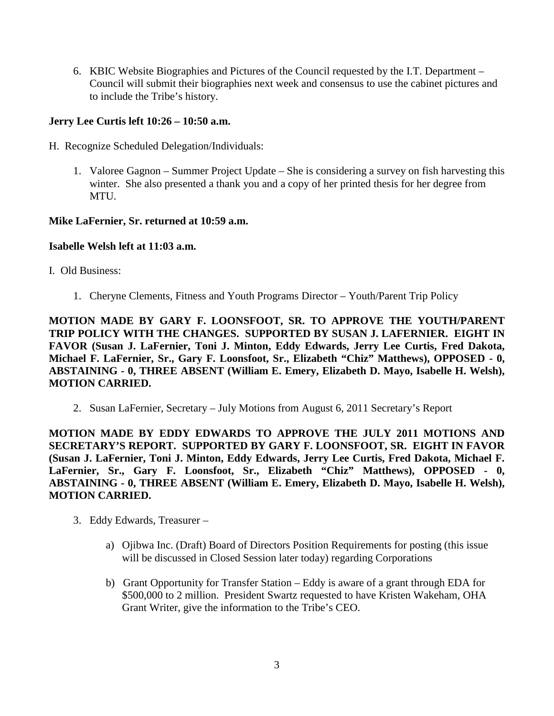6. KBIC Website Biographies and Pictures of the Council requested by the I.T. Department – Council will submit their biographies next week and consensus to use the cabinet pictures and to include the Tribe's history.

# **Jerry Lee Curtis left 10:26 – 10:50 a.m.**

- H. Recognize Scheduled Delegation/Individuals:
	- 1. Valoree Gagnon Summer Project Update She is considering a survey on fish harvesting this winter. She also presented a thank you and a copy of her printed thesis for her degree from **MTU**

## **Mike LaFernier, Sr. returned at 10:59 a.m.**

## **Isabelle Welsh left at 11:03 a.m.**

## I. Old Business:

1. Cheryne Clements, Fitness and Youth Programs Director – Youth/Parent Trip Policy

**MOTION MADE BY GARY F. LOONSFOOT, SR. TO APPROVE THE YOUTH/PARENT TRIP POLICY WITH THE CHANGES. SUPPORTED BY SUSAN J. LAFERNIER. EIGHT IN FAVOR (Susan J. LaFernier, Toni J. Minton, Eddy Edwards, Jerry Lee Curtis, Fred Dakota, Michael F. LaFernier, Sr., Gary F. Loonsfoot, Sr., Elizabeth "Chiz" Matthews), OPPOSED - 0, ABSTAINING - 0, THREE ABSENT (William E. Emery, Elizabeth D. Mayo, Isabelle H. Welsh), MOTION CARRIED.**

2. Susan LaFernier, Secretary – July Motions from August 6, 2011 Secretary's Report

**MOTION MADE BY EDDY EDWARDS TO APPROVE THE JULY 2011 MOTIONS AND SECRETARY'S REPORT. SUPPORTED BY GARY F. LOONSFOOT, SR. EIGHT IN FAVOR (Susan J. LaFernier, Toni J. Minton, Eddy Edwards, Jerry Lee Curtis, Fred Dakota, Michael F. LaFernier, Sr., Gary F. Loonsfoot, Sr., Elizabeth "Chiz" Matthews), OPPOSED - 0, ABSTAINING - 0, THREE ABSENT (William E. Emery, Elizabeth D. Mayo, Isabelle H. Welsh), MOTION CARRIED.**

- 3. Eddy Edwards, Treasurer
	- a) Ojibwa Inc. (Draft) Board of Directors Position Requirements for posting (this issue will be discussed in Closed Session later today) regarding Corporations
	- b) Grant Opportunity for Transfer Station Eddy is aware of a grant through EDA for \$500,000 to 2 million. President Swartz requested to have Kristen Wakeham, OHA Grant Writer, give the information to the Tribe's CEO.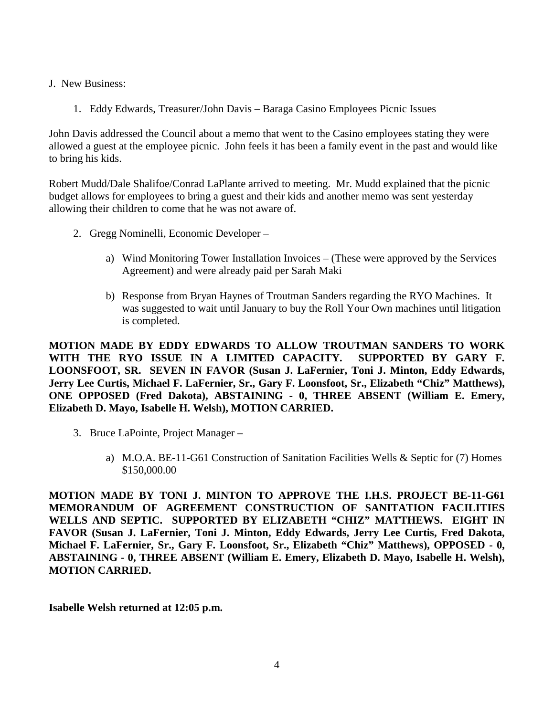- J. New Business:
	- 1. Eddy Edwards, Treasurer/John Davis Baraga Casino Employees Picnic Issues

John Davis addressed the Council about a memo that went to the Casino employees stating they were allowed a guest at the employee picnic. John feels it has been a family event in the past and would like to bring his kids.

Robert Mudd/Dale Shalifoe/Conrad LaPlante arrived to meeting. Mr. Mudd explained that the picnic budget allows for employees to bring a guest and their kids and another memo was sent yesterday allowing their children to come that he was not aware of.

- 2. Gregg Nominelli, Economic Developer
	- a) Wind Monitoring Tower Installation Invoices (These were approved by the Services Agreement) and were already paid per Sarah Maki
	- b) Response from Bryan Haynes of Troutman Sanders regarding the RYO Machines. It was suggested to wait until January to buy the Roll Your Own machines until litigation is completed.

**MOTION MADE BY EDDY EDWARDS TO ALLOW TROUTMAN SANDERS TO WORK WITH THE RYO ISSUE IN A LIMITED CAPACITY. SUPPORTED BY GARY F. LOONSFOOT, SR. SEVEN IN FAVOR (Susan J. LaFernier, Toni J. Minton, Eddy Edwards, Jerry Lee Curtis, Michael F. LaFernier, Sr., Gary F. Loonsfoot, Sr., Elizabeth "Chiz" Matthews), ONE OPPOSED (Fred Dakota), ABSTAINING - 0, THREE ABSENT (William E. Emery, Elizabeth D. Mayo, Isabelle H. Welsh), MOTION CARRIED.**

- 3. Bruce LaPointe, Project Manager
	- a) M.O.A. BE-11-G61 Construction of Sanitation Facilities Wells & Septic for (7) Homes \$150,000.00

**MOTION MADE BY TONI J. MINTON TO APPROVE THE I.H.S. PROJECT BE-11-G61 MEMORANDUM OF AGREEMENT CONSTRUCTION OF SANITATION FACILITIES WELLS AND SEPTIC. SUPPORTED BY ELIZABETH "CHIZ" MATTHEWS. EIGHT IN FAVOR (Susan J. LaFernier, Toni J. Minton, Eddy Edwards, Jerry Lee Curtis, Fred Dakota, Michael F. LaFernier, Sr., Gary F. Loonsfoot, Sr., Elizabeth "Chiz" Matthews), OPPOSED - 0, ABSTAINING - 0, THREE ABSENT (William E. Emery, Elizabeth D. Mayo, Isabelle H. Welsh), MOTION CARRIED.**

**Isabelle Welsh returned at 12:05 p.m.**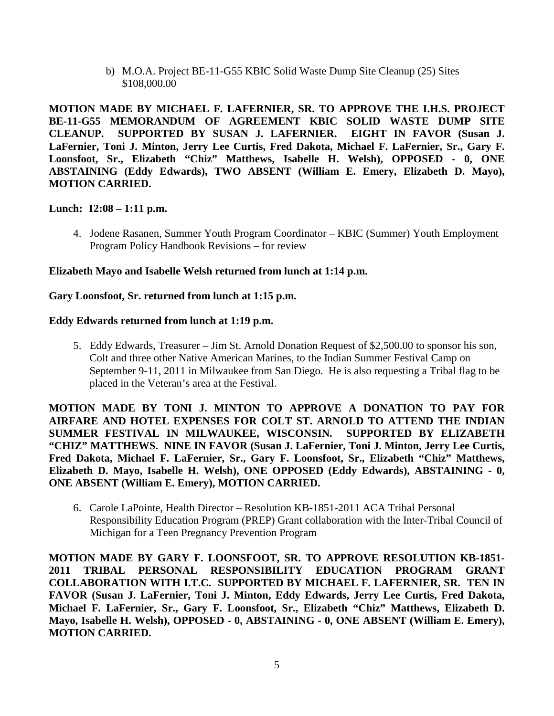b) M.O.A. Project BE-11-G55 KBIC Solid Waste Dump Site Cleanup (25) Sites \$108,000.00

**MOTION MADE BY MICHAEL F. LAFERNIER, SR. TO APPROVE THE I.H.S. PROJECT BE-11-G55 MEMORANDUM OF AGREEMENT KBIC SOLID WASTE DUMP SITE**  SUPPORTED BY SUSAN J. LAFERNIER. EIGHT IN FAVOR (Susan J. **LaFernier, Toni J. Minton, Jerry Lee Curtis, Fred Dakota, Michael F. LaFernier, Sr., Gary F. Loonsfoot, Sr., Elizabeth "Chiz" Matthews, Isabelle H. Welsh), OPPOSED - 0, ONE ABSTAINING (Eddy Edwards), TWO ABSENT (William E. Emery, Elizabeth D. Mayo), MOTION CARRIED.**

## **Lunch: 12:08 – 1:11 p.m.**

4. Jodene Rasanen, Summer Youth Program Coordinator – KBIC (Summer) Youth Employment Program Policy Handbook Revisions – for review

### **Elizabeth Mayo and Isabelle Welsh returned from lunch at 1:14 p.m.**

### **Gary Loonsfoot, Sr. returned from lunch at 1:15 p.m.**

### **Eddy Edwards returned from lunch at 1:19 p.m.**

5. Eddy Edwards, Treasurer – Jim St. Arnold Donation Request of \$2,500.00 to sponsor his son, Colt and three other Native American Marines, to the Indian Summer Festival Camp on September 9-11, 2011 in Milwaukee from San Diego. He is also requesting a Tribal flag to be placed in the Veteran's area at the Festival.

**MOTION MADE BY TONI J. MINTON TO APPROVE A DONATION TO PAY FOR AIRFARE AND HOTEL EXPENSES FOR COLT ST. ARNOLD TO ATTEND THE INDIAN SUMMER FESTIVAL IN MILWAUKEE, WISCONSIN. SUPPORTED BY ELIZABETH "CHIZ" MATTHEWS. NINE IN FAVOR (Susan J. LaFernier, Toni J. Minton, Jerry Lee Curtis, Fred Dakota, Michael F. LaFernier, Sr., Gary F. Loonsfoot, Sr., Elizabeth "Chiz" Matthews, Elizabeth D. Mayo, Isabelle H. Welsh), ONE OPPOSED (Eddy Edwards), ABSTAINING - 0, ONE ABSENT (William E. Emery), MOTION CARRIED.**

6. Carole LaPointe, Health Director – Resolution KB-1851-2011 ACA Tribal Personal Responsibility Education Program (PREP) Grant collaboration with the Inter-Tribal Council of Michigan for a Teen Pregnancy Prevention Program

**MOTION MADE BY GARY F. LOONSFOOT, SR. TO APPROVE RESOLUTION KB-1851- 2011 TRIBAL PERSONAL RESPONSIBILITY EDUCATION PROGRAM GRANT COLLABORATION WITH I.T.C. SUPPORTED BY MICHAEL F. LAFERNIER, SR. TEN IN FAVOR (Susan J. LaFernier, Toni J. Minton, Eddy Edwards, Jerry Lee Curtis, Fred Dakota, Michael F. LaFernier, Sr., Gary F. Loonsfoot, Sr., Elizabeth "Chiz" Matthews, Elizabeth D. Mayo, Isabelle H. Welsh), OPPOSED - 0, ABSTAINING - 0, ONE ABSENT (William E. Emery), MOTION CARRIED.**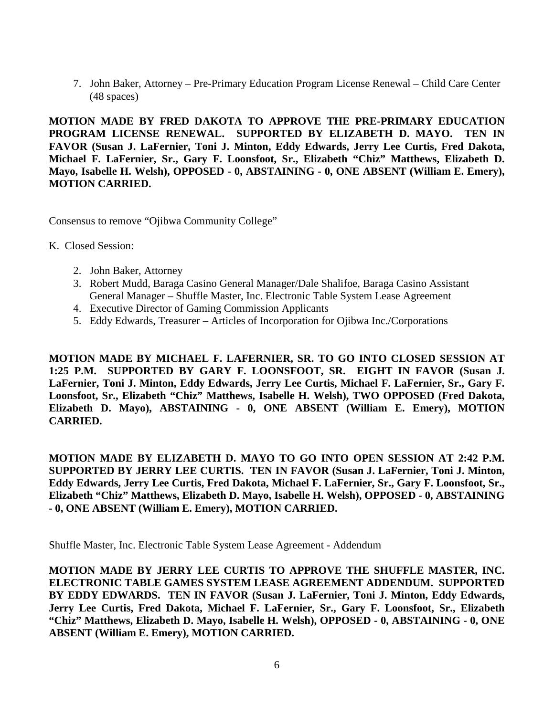7. John Baker, Attorney – Pre-Primary Education Program License Renewal – Child Care Center (48 spaces)

**MOTION MADE BY FRED DAKOTA TO APPROVE THE PRE-PRIMARY EDUCATION PROGRAM LICENSE RENEWAL. SUPPORTED BY ELIZABETH D. MAYO. TEN IN FAVOR (Susan J. LaFernier, Toni J. Minton, Eddy Edwards, Jerry Lee Curtis, Fred Dakota, Michael F. LaFernier, Sr., Gary F. Loonsfoot, Sr., Elizabeth "Chiz" Matthews, Elizabeth D. Mayo, Isabelle H. Welsh), OPPOSED - 0, ABSTAINING - 0, ONE ABSENT (William E. Emery), MOTION CARRIED.**

Consensus to remove "Ojibwa Community College"

K. Closed Session:

- 2. John Baker, Attorney
- 3. Robert Mudd, Baraga Casino General Manager/Dale Shalifoe, Baraga Casino Assistant General Manager – Shuffle Master, Inc. Electronic Table System Lease Agreement
- 4. Executive Director of Gaming Commission Applicants
- 5. Eddy Edwards, Treasurer Articles of Incorporation for Ojibwa Inc./Corporations

**MOTION MADE BY MICHAEL F. LAFERNIER, SR. TO GO INTO CLOSED SESSION AT 1:25 P.M. SUPPORTED BY GARY F. LOONSFOOT, SR. EIGHT IN FAVOR (Susan J. LaFernier, Toni J. Minton, Eddy Edwards, Jerry Lee Curtis, Michael F. LaFernier, Sr., Gary F. Loonsfoot, Sr., Elizabeth "Chiz" Matthews, Isabelle H. Welsh), TWO OPPOSED (Fred Dakota, Elizabeth D. Mayo), ABSTAINING - 0, ONE ABSENT (William E. Emery), MOTION CARRIED.**

**MOTION MADE BY ELIZABETH D. MAYO TO GO INTO OPEN SESSION AT 2:42 P.M. SUPPORTED BY JERRY LEE CURTIS. TEN IN FAVOR (Susan J. LaFernier, Toni J. Minton, Eddy Edwards, Jerry Lee Curtis, Fred Dakota, Michael F. LaFernier, Sr., Gary F. Loonsfoot, Sr., Elizabeth "Chiz" Matthews, Elizabeth D. Mayo, Isabelle H. Welsh), OPPOSED - 0, ABSTAINING - 0, ONE ABSENT (William E. Emery), MOTION CARRIED.**

Shuffle Master, Inc. Electronic Table System Lease Agreement - Addendum

**MOTION MADE BY JERRY LEE CURTIS TO APPROVE THE SHUFFLE MASTER, INC. ELECTRONIC TABLE GAMES SYSTEM LEASE AGREEMENT ADDENDUM. SUPPORTED BY EDDY EDWARDS. TEN IN FAVOR (Susan J. LaFernier, Toni J. Minton, Eddy Edwards, Jerry Lee Curtis, Fred Dakota, Michael F. LaFernier, Sr., Gary F. Loonsfoot, Sr., Elizabeth "Chiz" Matthews, Elizabeth D. Mayo, Isabelle H. Welsh), OPPOSED - 0, ABSTAINING - 0, ONE ABSENT (William E. Emery), MOTION CARRIED.**